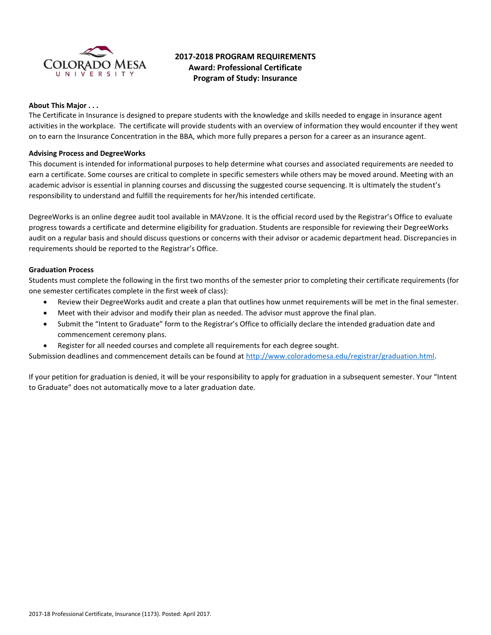

# **2017-2018 PROGRAM REQUIREMENTS Award: Professional Certificate Program of Study: Insurance**

## **About This Major . . .**

The Certificate in Insurance is designed to prepare students with the knowledge and skills needed to engage in insurance agent activities in the workplace. The certificate will provide students with an overview of information they would encounter if they went on to earn the Insurance Concentration in the BBA, which more fully prepares a person for a career as an insurance agent.

## **Advising Process and DegreeWorks**

This document is intended for informational purposes to help determine what courses and associated requirements are needed to earn a certificate. Some courses are critical to complete in specific semesters while others may be moved around. Meeting with an academic advisor is essential in planning courses and discussing the suggested course sequencing. It is ultimately the student's responsibility to understand and fulfill the requirements for her/his intended certificate.

DegreeWorks is an online degree audit tool available in MAVzone. It is the official record used by the Registrar's Office to evaluate progress towards a certificate and determine eligibility for graduation. Students are responsible for reviewing their DegreeWorks audit on a regular basis and should discuss questions or concerns with their advisor or academic department head. Discrepancies in requirements should be reported to the Registrar's Office.

## **Graduation Process**

Students must complete the following in the first two months of the semester prior to completing their certificate requirements (for one semester certificates complete in the first week of class):

- Review their DegreeWorks audit and create a plan that outlines how unmet requirements will be met in the final semester.
- Meet with their advisor and modify their plan as needed. The advisor must approve the final plan.
- Submit the "Intent to Graduate" form to the Registrar's Office to officially declare the intended graduation date and commencement ceremony plans.
- Register for all needed courses and complete all requirements for each degree sought.

Submission deadlines and commencement details can be found at [http://www.coloradomesa.edu/registrar/graduation.html.](http://www.coloradomesa.edu/registrar/graduation.html)

If your petition for graduation is denied, it will be your responsibility to apply for graduation in a subsequent semester. Your "Intent to Graduate" does not automatically move to a later graduation date.